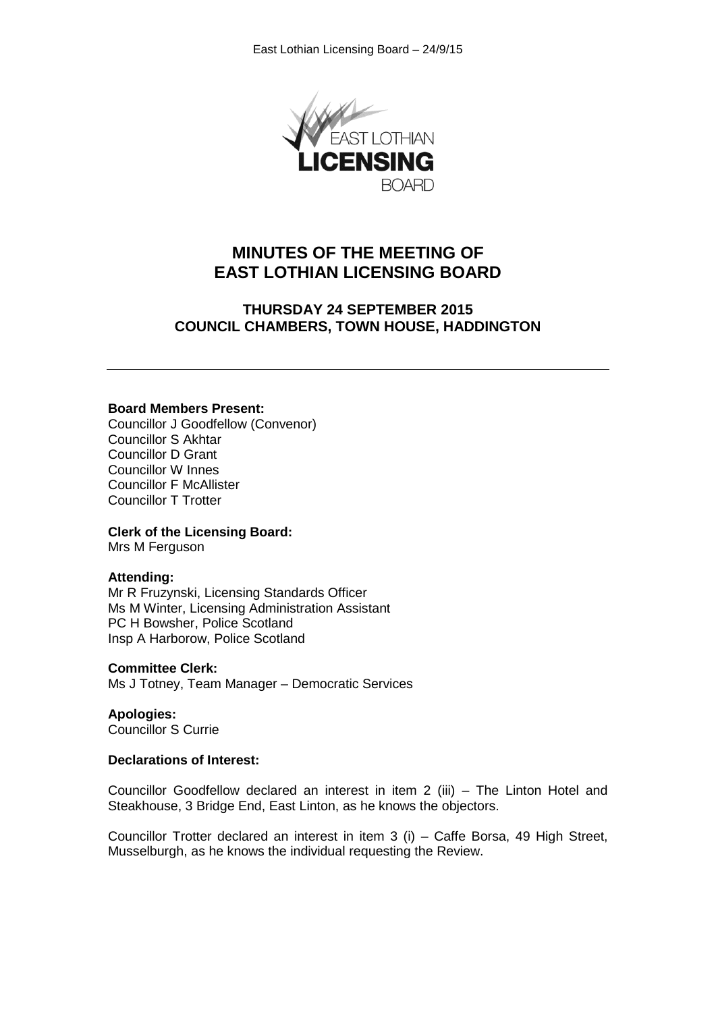

# **MINUTES OF THE MEETING OF EAST LOTHIAN LICENSING BOARD**

# **THURSDAY 24 SEPTEMBER 2015 COUNCIL CHAMBERS, TOWN HOUSE, HADDINGTON**

#### **Board Members Present:**

Councillor J Goodfellow (Convenor) Councillor S Akhtar Councillor D Grant Councillor W Innes Councillor F McAllister Councillor T Trotter

#### **Clerk of the Licensing Board:**

Mrs M Ferguson

#### **Attending:**

Mr R Fruzynski, Licensing Standards Officer Ms M Winter, Licensing Administration Assistant PC H Bowsher, Police Scotland Insp A Harborow, Police Scotland

#### **Committee Clerk:**

Ms J Totney, Team Manager – Democratic Services

**Apologies:** Councillor S Currie

#### **Declarations of Interest:**

Councillor Goodfellow declared an interest in item 2 (iii) – The Linton Hotel and Steakhouse, 3 Bridge End, East Linton, as he knows the objectors.

Councillor Trotter declared an interest in item 3 (i) – Caffe Borsa, 49 High Street, Musselburgh, as he knows the individual requesting the Review.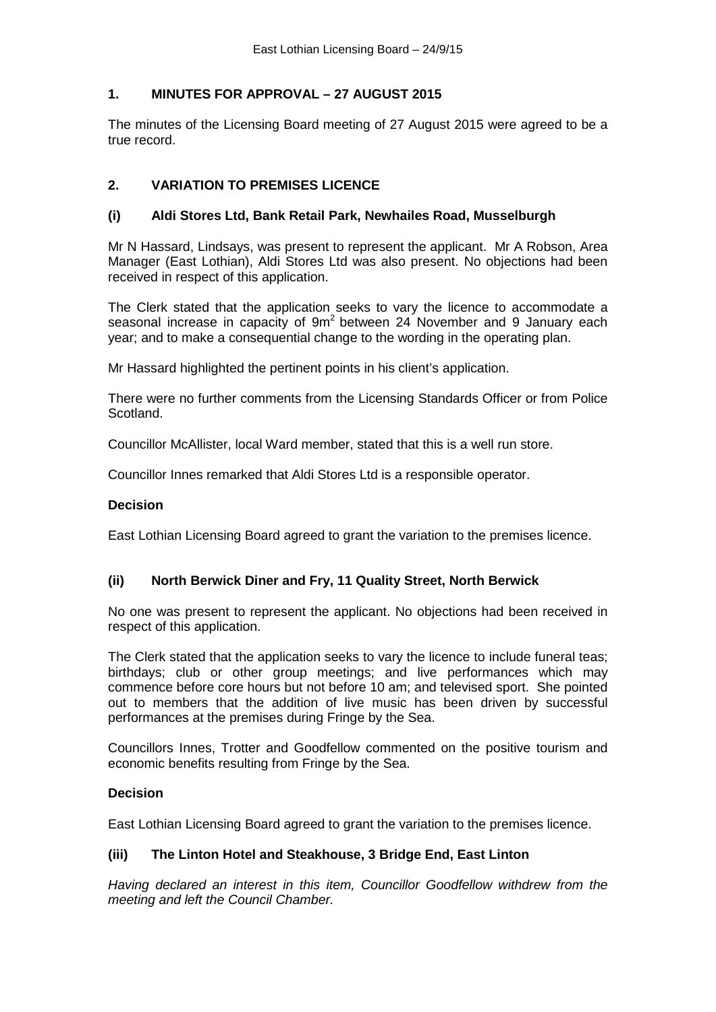## **1. MINUTES FOR APPROVAL – 27 AUGUST 2015**

The minutes of the Licensing Board meeting of 27 August 2015 were agreed to be a true record.

## **2. VARIATION TO PREMISES LICENCE**

## **(i) Aldi Stores Ltd, Bank Retail Park, Newhailes Road, Musselburgh**

Mr N Hassard, Lindsays, was present to represent the applicant. Mr A Robson, Area Manager (East Lothian), Aldi Stores Ltd was also present. No objections had been received in respect of this application.

The Clerk stated that the application seeks to vary the licence to accommodate a seasonal increase in capacity of  $9m^2$  between 24 November and 9 January each year; and to make a consequential change to the wording in the operating plan.

Mr Hassard highlighted the pertinent points in his client's application.

There were no further comments from the Licensing Standards Officer or from Police Scotland.

Councillor McAllister, local Ward member, stated that this is a well run store.

Councillor Innes remarked that Aldi Stores Ltd is a responsible operator.

#### **Decision**

East Lothian Licensing Board agreed to grant the variation to the premises licence.

## **(ii) North Berwick Diner and Fry, 11 Quality Street, North Berwick**

No one was present to represent the applicant. No objections had been received in respect of this application.

The Clerk stated that the application seeks to vary the licence to include funeral teas; birthdays; club or other group meetings; and live performances which may commence before core hours but not before 10 am; and televised sport. She pointed out to members that the addition of live music has been driven by successful performances at the premises during Fringe by the Sea.

Councillors Innes, Trotter and Goodfellow commented on the positive tourism and economic benefits resulting from Fringe by the Sea.

## **Decision**

East Lothian Licensing Board agreed to grant the variation to the premises licence.

## **(iii) The Linton Hotel and Steakhouse, 3 Bridge End, East Linton**

*Having declared an interest in this item, Councillor Goodfellow withdrew from the meeting and left the Council Chamber.*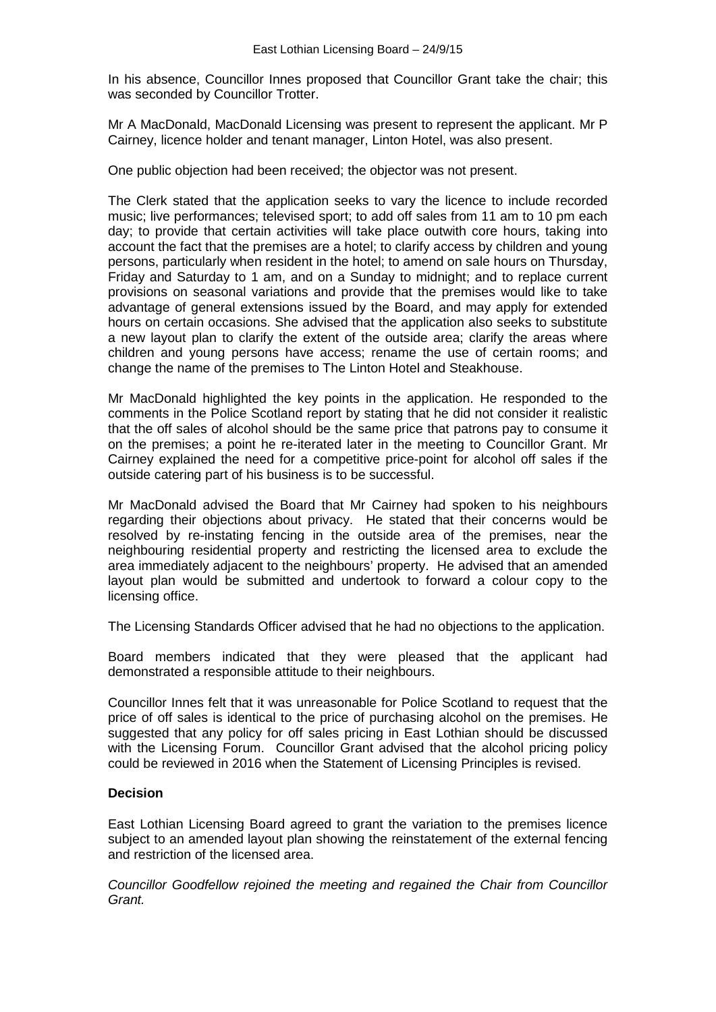In his absence, Councillor Innes proposed that Councillor Grant take the chair; this was seconded by Councillor Trotter.

Mr A MacDonald, MacDonald Licensing was present to represent the applicant. Mr P Cairney, licence holder and tenant manager, Linton Hotel, was also present.

One public objection had been received; the objector was not present.

The Clerk stated that the application seeks to vary the licence to include recorded music; live performances; televised sport; to add off sales from 11 am to 10 pm each day; to provide that certain activities will take place outwith core hours, taking into account the fact that the premises are a hotel; to clarify access by children and young persons, particularly when resident in the hotel; to amend on sale hours on Thursday, Friday and Saturday to 1 am, and on a Sunday to midnight; and to replace current provisions on seasonal variations and provide that the premises would like to take advantage of general extensions issued by the Board, and may apply for extended hours on certain occasions. She advised that the application also seeks to substitute a new layout plan to clarify the extent of the outside area; clarify the areas where children and young persons have access; rename the use of certain rooms; and change the name of the premises to The Linton Hotel and Steakhouse.

Mr MacDonald highlighted the key points in the application. He responded to the comments in the Police Scotland report by stating that he did not consider it realistic that the off sales of alcohol should be the same price that patrons pay to consume it on the premises; a point he re-iterated later in the meeting to Councillor Grant. Mr Cairney explained the need for a competitive price-point for alcohol off sales if the outside catering part of his business is to be successful.

Mr MacDonald advised the Board that Mr Cairney had spoken to his neighbours regarding their objections about privacy. He stated that their concerns would be resolved by re-instating fencing in the outside area of the premises, near the neighbouring residential property and restricting the licensed area to exclude the area immediately adjacent to the neighbours' property. He advised that an amended layout plan would be submitted and undertook to forward a colour copy to the licensing office.

The Licensing Standards Officer advised that he had no objections to the application.

Board members indicated that they were pleased that the applicant had demonstrated a responsible attitude to their neighbours.

Councillor Innes felt that it was unreasonable for Police Scotland to request that the price of off sales is identical to the price of purchasing alcohol on the premises. He suggested that any policy for off sales pricing in East Lothian should be discussed with the Licensing Forum. Councillor Grant advised that the alcohol pricing policy could be reviewed in 2016 when the Statement of Licensing Principles is revised.

## **Decision**

East Lothian Licensing Board agreed to grant the variation to the premises licence subject to an amended layout plan showing the reinstatement of the external fencing and restriction of the licensed area.

*Councillor Goodfellow rejoined the meeting and regained the Chair from Councillor Grant.*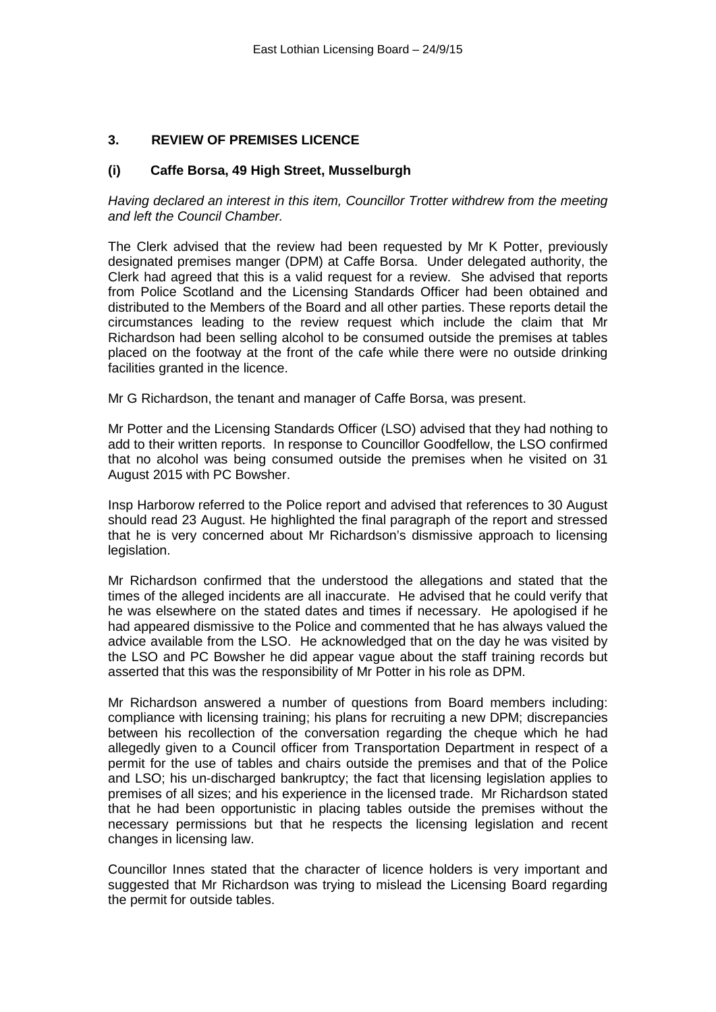## **3. REVIEW OF PREMISES LICENCE**

#### **(i) Caffe Borsa, 49 High Street, Musselburgh**

*Having declared an interest in this item, Councillor Trotter withdrew from the meeting and left the Council Chamber.*

The Clerk advised that the review had been requested by Mr K Potter, previously designated premises manger (DPM) at Caffe Borsa. Under delegated authority, the Clerk had agreed that this is a valid request for a review. She advised that reports from Police Scotland and the Licensing Standards Officer had been obtained and distributed to the Members of the Board and all other parties. These reports detail the circumstances leading to the review request which include the claim that Mr Richardson had been selling alcohol to be consumed outside the premises at tables placed on the footway at the front of the cafe while there were no outside drinking facilities granted in the licence.

Mr G Richardson, the tenant and manager of Caffe Borsa, was present.

Mr Potter and the Licensing Standards Officer (LSO) advised that they had nothing to add to their written reports. In response to Councillor Goodfellow, the LSO confirmed that no alcohol was being consumed outside the premises when he visited on 31 August 2015 with PC Bowsher.

Insp Harborow referred to the Police report and advised that references to 30 August should read 23 August. He highlighted the final paragraph of the report and stressed that he is very concerned about Mr Richardson's dismissive approach to licensing legislation.

Mr Richardson confirmed that the understood the allegations and stated that the times of the alleged incidents are all inaccurate. He advised that he could verify that he was elsewhere on the stated dates and times if necessary. He apologised if he had appeared dismissive to the Police and commented that he has always valued the advice available from the LSO. He acknowledged that on the day he was visited by the LSO and PC Bowsher he did appear vague about the staff training records but asserted that this was the responsibility of Mr Potter in his role as DPM.

Mr Richardson answered a number of questions from Board members including: compliance with licensing training; his plans for recruiting a new DPM; discrepancies between his recollection of the conversation regarding the cheque which he had allegedly given to a Council officer from Transportation Department in respect of a permit for the use of tables and chairs outside the premises and that of the Police and LSO; his un-discharged bankruptcy; the fact that licensing legislation applies to premises of all sizes; and his experience in the licensed trade. Mr Richardson stated that he had been opportunistic in placing tables outside the premises without the necessary permissions but that he respects the licensing legislation and recent changes in licensing law.

Councillor Innes stated that the character of licence holders is very important and suggested that Mr Richardson was trying to mislead the Licensing Board regarding the permit for outside tables.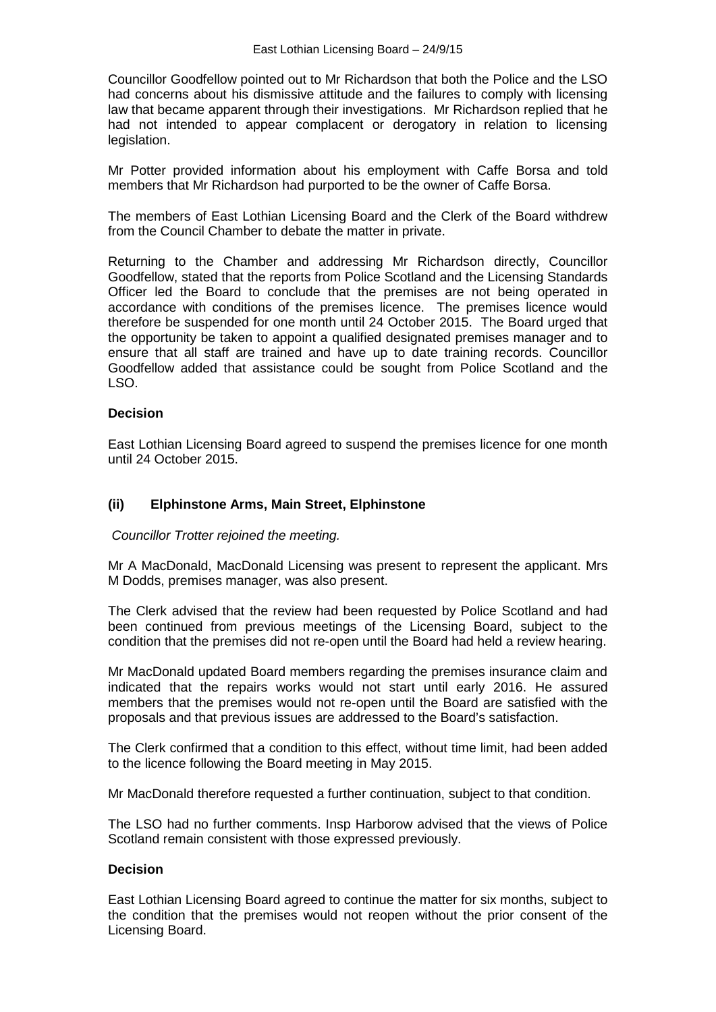Councillor Goodfellow pointed out to Mr Richardson that both the Police and the LSO had concerns about his dismissive attitude and the failures to comply with licensing law that became apparent through their investigations. Mr Richardson replied that he had not intended to appear complacent or derogatory in relation to licensing legislation.

Mr Potter provided information about his employment with Caffe Borsa and told members that Mr Richardson had purported to be the owner of Caffe Borsa.

The members of East Lothian Licensing Board and the Clerk of the Board withdrew from the Council Chamber to debate the matter in private.

Returning to the Chamber and addressing Mr Richardson directly, Councillor Goodfellow, stated that the reports from Police Scotland and the Licensing Standards Officer led the Board to conclude that the premises are not being operated in accordance with conditions of the premises licence. The premises licence would therefore be suspended for one month until 24 October 2015. The Board urged that the opportunity be taken to appoint a qualified designated premises manager and to ensure that all staff are trained and have up to date training records. Councillor Goodfellow added that assistance could be sought from Police Scotland and the LSO.

## **Decision**

East Lothian Licensing Board agreed to suspend the premises licence for one month until 24 October 2015.

#### **(ii) Elphinstone Arms, Main Street, Elphinstone**

*Councillor Trotter rejoined the meeting.*

Mr A MacDonald, MacDonald Licensing was present to represent the applicant. Mrs M Dodds, premises manager, was also present.

The Clerk advised that the review had been requested by Police Scotland and had been continued from previous meetings of the Licensing Board, subject to the condition that the premises did not re-open until the Board had held a review hearing.

Mr MacDonald updated Board members regarding the premises insurance claim and indicated that the repairs works would not start until early 2016. He assured members that the premises would not re-open until the Board are satisfied with the proposals and that previous issues are addressed to the Board's satisfaction.

The Clerk confirmed that a condition to this effect, without time limit, had been added to the licence following the Board meeting in May 2015.

Mr MacDonald therefore requested a further continuation, subject to that condition.

The LSO had no further comments. Insp Harborow advised that the views of Police Scotland remain consistent with those expressed previously.

## **Decision**

East Lothian Licensing Board agreed to continue the matter for six months, subject to the condition that the premises would not reopen without the prior consent of the Licensing Board.